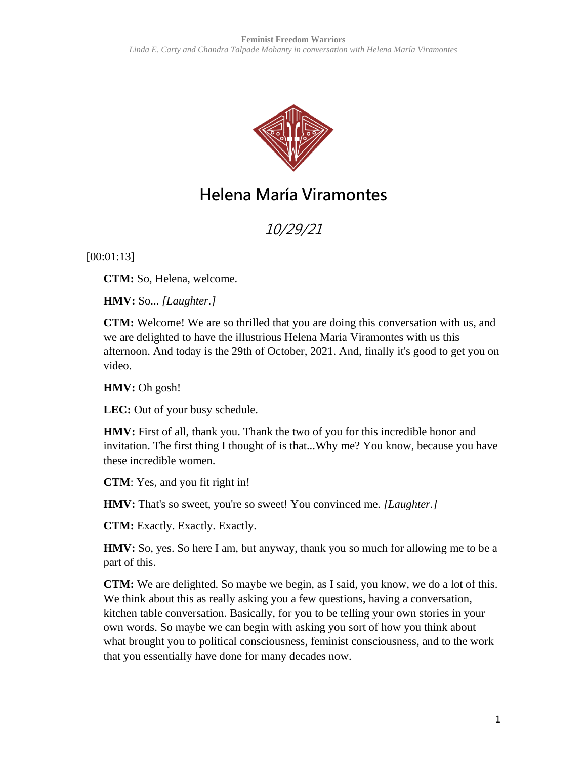

# **Helena María Viramontes**

10/29/21

[00:01:13]

**CTM:** So, Helena, welcome.

**HMV:** So... *[Laughter.]*

**CTM:** Welcome! We are so thrilled that you are doing this conversation with us, and we are delighted to have the illustrious Helena Maria Viramontes with us this afternoon. And today is the 29th of October, 2021. And, finally it's good to get you on video.

**HMV:** Oh gosh!

**LEC:** Out of your busy schedule.

**HMV:** First of all, thank you. Thank the two of you for this incredible honor and invitation. The first thing I thought of is that...Why me? You know, because you have these incredible women.

**CTM**: Yes, and you fit right in!

**HMV:** That's so sweet, you're so sweet! You convinced me. *[Laughter.]*

**CTM:** Exactly. Exactly. Exactly.

**HMV:** So, yes. So here I am, but anyway, thank you so much for allowing me to be a part of this.

**CTM:** We are delighted. So maybe we begin, as I said, you know, we do a lot of this. We think about this as really asking you a few questions, having a conversation, kitchen table conversation. Basically, for you to be telling your own stories in your own words. So maybe we can begin with asking you sort of how you think about what brought you to political consciousness, feminist consciousness, and to the work that you essentially have done for many decades now.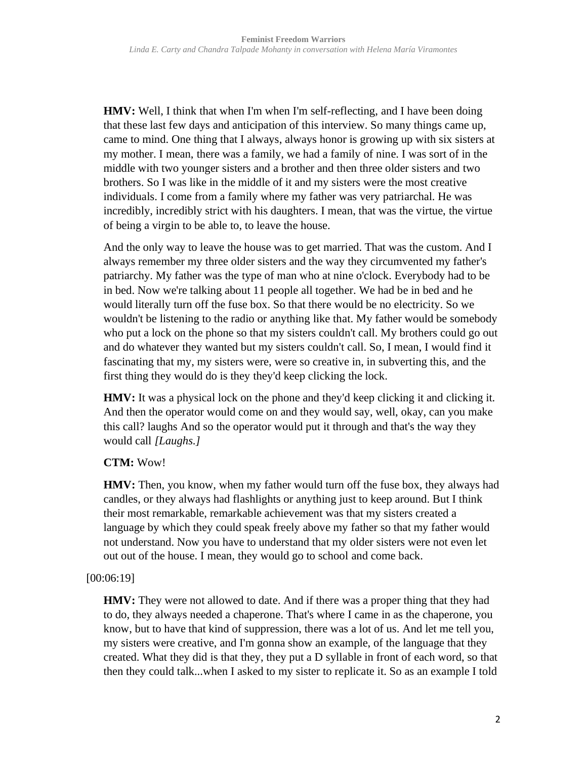**HMV:** Well, I think that when I'm when I'm self-reflecting, and I have been doing that these last few days and anticipation of this interview. So many things came up, came to mind. One thing that I always, always honor is growing up with six sisters at my mother. I mean, there was a family, we had a family of nine. I was sort of in the middle with two younger sisters and a brother and then three older sisters and two brothers. So I was like in the middle of it and my sisters were the most creative individuals. I come from a family where my father was very patriarchal. He was incredibly, incredibly strict with his daughters. I mean, that was the virtue, the virtue of being a virgin to be able to, to leave the house.

And the only way to leave the house was to get married. That was the custom. And I always remember my three older sisters and the way they circumvented my father's patriarchy. My father was the type of man who at nine o'clock. Everybody had to be in bed. Now we're talking about 11 people all together. We had be in bed and he would literally turn off the fuse box. So that there would be no electricity. So we wouldn't be listening to the radio or anything like that. My father would be somebody who put a lock on the phone so that my sisters couldn't call. My brothers could go out and do whatever they wanted but my sisters couldn't call. So, I mean, I would find it fascinating that my, my sisters were, were so creative in, in subverting this, and the first thing they would do is they they'd keep clicking the lock.

**HMV:** It was a physical lock on the phone and they'd keep clicking it and clicking it. And then the operator would come on and they would say, well, okay, can you make this call? laughs And so the operator would put it through and that's the way they would call *[Laughs.]*

# **CTM:** Wow!

**HMV:** Then, you know, when my father would turn off the fuse box, they always had candles, or they always had flashlights or anything just to keep around. But I think their most remarkable, remarkable achievement was that my sisters created a language by which they could speak freely above my father so that my father would not understand. Now you have to understand that my older sisters were not even let out out of the house. I mean, they would go to school and come back.

# [00:06:19]

**HMV:** They were not allowed to date. And if there was a proper thing that they had to do, they always needed a chaperone. That's where I came in as the chaperone, you know, but to have that kind of suppression, there was a lot of us. And let me tell you, my sisters were creative, and I'm gonna show an example, of the language that they created. What they did is that they, they put a D syllable in front of each word, so that then they could talk...when I asked to my sister to replicate it. So as an example I told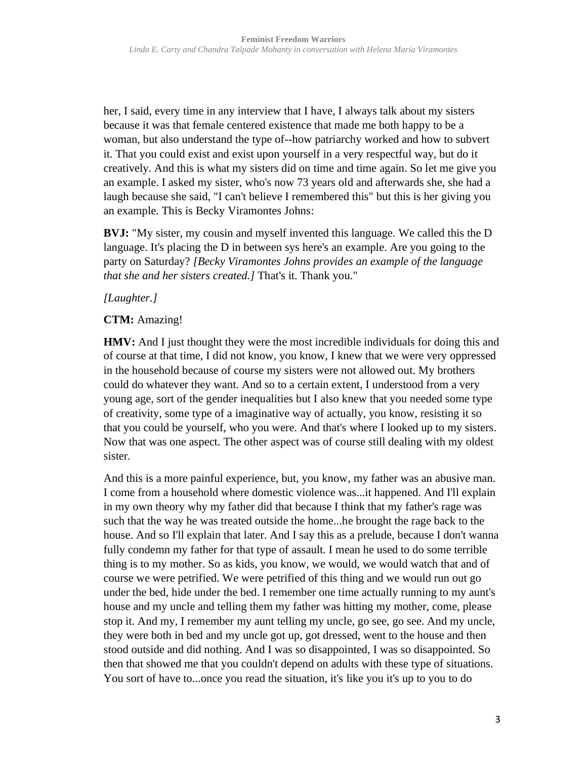her, I said, every time in any interview that I have, I always talk about my sisters because it was that female centered existence that made me both happy to be a woman, but also understand the type of--how patriarchy worked and how to subvert it. That you could exist and exist upon yourself in a very respectful way, but do it creatively. And this is what my sisters did on time and time again. So let me give you an example. I asked my sister, who's now 73 years old and afterwards she, she had a laugh because she said, "I can't believe I remembered this" but this is her giving you an example. This is Becky Viramontes Johns:

**BVJ:** "My sister, my cousin and myself invented this language. We called this the D language. It's placing the D in between sys here's an example. Are you going to the party on Saturday? *[Becky Viramontes Johns provides an example of the language that she and her sisters created.]* That's it. Thank you."

# *[Laughter.]*

# **CTM:** Amazing!

**HMV:** And I just thought they were the most incredible individuals for doing this and of course at that time, I did not know, you know, I knew that we were very oppressed in the household because of course my sisters were not allowed out. My brothers could do whatever they want. And so to a certain extent, I understood from a very young age, sort of the gender inequalities but I also knew that you needed some type of creativity, some type of a imaginative way of actually, you know, resisting it so that you could be yourself, who you were. And that's where I looked up to my sisters. Now that was one aspect. The other aspect was of course still dealing with my oldest sister.

And this is a more painful experience, but, you know, my father was an abusive man. I come from a household where domestic violence was...it happened. And I'll explain in my own theory why my father did that because I think that my father's rage was such that the way he was treated outside the home...he brought the rage back to the house. And so I'll explain that later. And I say this as a prelude, because I don't wanna fully condemn my father for that type of assault. I mean he used to do some terrible thing is to my mother. So as kids, you know, we would, we would watch that and of course we were petrified. We were petrified of this thing and we would run out go under the bed, hide under the bed. I remember one time actually running to my aunt's house and my uncle and telling them my father was hitting my mother, come, please stop it. And my, I remember my aunt telling my uncle, go see, go see. And my uncle, they were both in bed and my uncle got up, got dressed, went to the house and then stood outside and did nothing. And I was so disappointed, I was so disappointed. So then that showed me that you couldn't depend on adults with these type of situations. You sort of have to...once you read the situation, it's like you it's up to you to do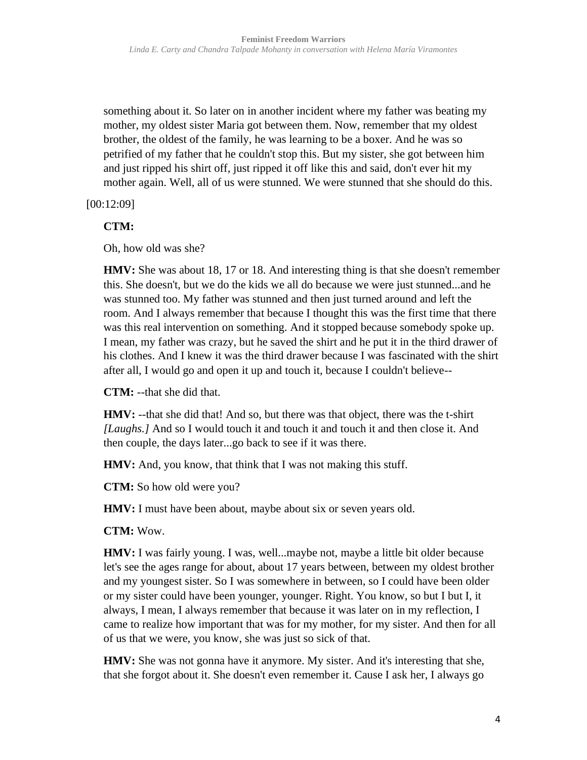something about it. So later on in another incident where my father was beating my mother, my oldest sister Maria got between them. Now, remember that my oldest brother, the oldest of the family, he was learning to be a boxer. And he was so petrified of my father that he couldn't stop this. But my sister, she got between him and just ripped his shirt off, just ripped it off like this and said, don't ever hit my mother again. Well, all of us were stunned. We were stunned that she should do this.

[00:12:09]

**CTM:**

Oh, how old was she?

**HMV:** She was about 18, 17 or 18. And interesting thing is that she doesn't remember this. She doesn't, but we do the kids we all do because we were just stunned...and he was stunned too. My father was stunned and then just turned around and left the room. And I always remember that because I thought this was the first time that there was this real intervention on something. And it stopped because somebody spoke up. I mean, my father was crazy, but he saved the shirt and he put it in the third drawer of his clothes. And I knew it was the third drawer because I was fascinated with the shirt after all, I would go and open it up and touch it, because I couldn't believe--

**CTM:** --that she did that.

**HMV:** --that she did that! And so, but there was that object, there was the t-shirt *[Laughs.]* And so I would touch it and touch it and touch it and then close it. And then couple, the days later...go back to see if it was there.

**HMV:** And, you know, that think that I was not making this stuff.

**CTM:** So how old were you?

**HMV:** I must have been about, maybe about six or seven years old.

**CTM:** Wow.

**HMV:** I was fairly young. I was, well...maybe not, maybe a little bit older because let's see the ages range for about, about 17 years between, between my oldest brother and my youngest sister. So I was somewhere in between, so I could have been older or my sister could have been younger, younger. Right. You know, so but I but I, it always, I mean, I always remember that because it was later on in my reflection, I came to realize how important that was for my mother, for my sister. And then for all of us that we were, you know, she was just so sick of that.

**HMV:** She was not gonna have it anymore. My sister. And it's interesting that she, that she forgot about it. She doesn't even remember it. Cause I ask her, I always go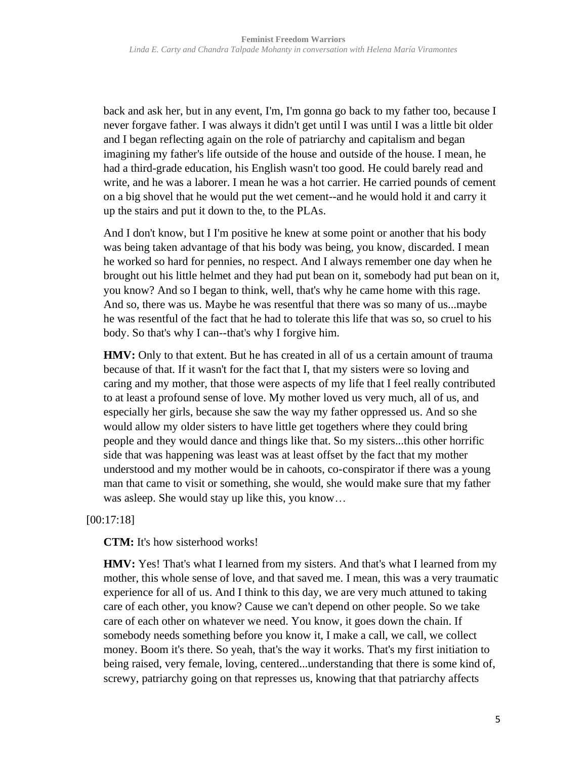back and ask her, but in any event, I'm, I'm gonna go back to my father too, because I never forgave father. I was always it didn't get until I was until I was a little bit older and I began reflecting again on the role of patriarchy and capitalism and began imagining my father's life outside of the house and outside of the house. I mean, he had a third-grade education, his English wasn't too good. He could barely read and write, and he was a laborer. I mean he was a hot carrier. He carried pounds of cement on a big shovel that he would put the wet cement--and he would hold it and carry it up the stairs and put it down to the, to the PLAs.

And I don't know, but I I'm positive he knew at some point or another that his body was being taken advantage of that his body was being, you know, discarded. I mean he worked so hard for pennies, no respect. And I always remember one day when he brought out his little helmet and they had put bean on it, somebody had put bean on it, you know? And so I began to think, well, that's why he came home with this rage. And so, there was us. Maybe he was resentful that there was so many of us...maybe he was resentful of the fact that he had to tolerate this life that was so, so cruel to his body. So that's why I can--that's why I forgive him.

**HMV:** Only to that extent. But he has created in all of us a certain amount of trauma because of that. If it wasn't for the fact that I, that my sisters were so loving and caring and my mother, that those were aspects of my life that I feel really contributed to at least a profound sense of love. My mother loved us very much, all of us, and especially her girls, because she saw the way my father oppressed us. And so she would allow my older sisters to have little get togethers where they could bring people and they would dance and things like that. So my sisters...this other horrific side that was happening was least was at least offset by the fact that my mother understood and my mother would be in cahoots, co-conspirator if there was a young man that came to visit or something, she would, she would make sure that my father was asleep. She would stay up like this, you know…

[00:17:18]

**CTM:** It's how sisterhood works!

**HMV:** Yes! That's what I learned from my sisters. And that's what I learned from my mother, this whole sense of love, and that saved me. I mean, this was a very traumatic experience for all of us. And I think to this day, we are very much attuned to taking care of each other, you know? Cause we can't depend on other people. So we take care of each other on whatever we need. You know, it goes down the chain. If somebody needs something before you know it, I make a call, we call, we collect money. Boom it's there. So yeah, that's the way it works. That's my first initiation to being raised, very female, loving, centered...understanding that there is some kind of, screwy, patriarchy going on that represses us, knowing that that patriarchy affects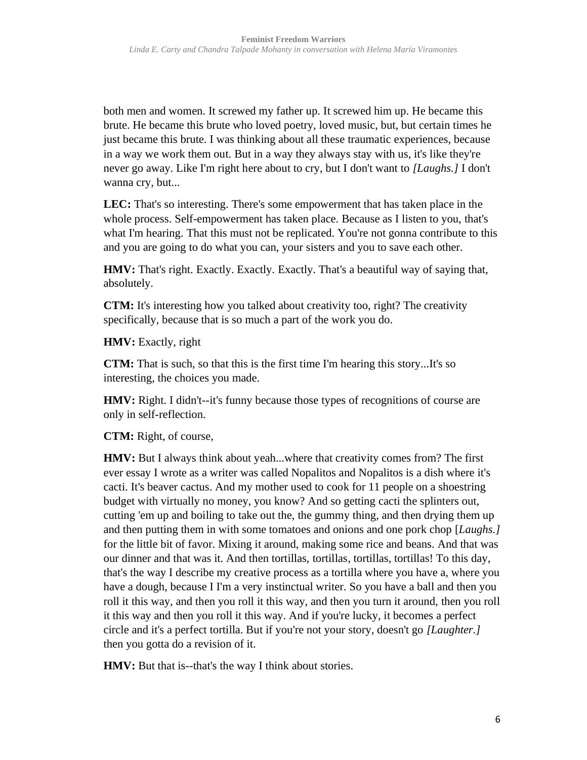both men and women. It screwed my father up. It screwed him up. He became this brute. He became this brute who loved poetry, loved music, but, but certain times he just became this brute. I was thinking about all these traumatic experiences, because in a way we work them out. But in a way they always stay with us, it's like they're never go away. Like I'm right here about to cry, but I don't want to *[Laughs.]* I don't wanna cry, but...

**LEC:** That's so interesting. There's some empowerment that has taken place in the whole process. Self-empowerment has taken place. Because as I listen to you, that's what I'm hearing. That this must not be replicated. You're not gonna contribute to this and you are going to do what you can, your sisters and you to save each other.

**HMV:** That's right. Exactly. Exactly. Exactly. That's a beautiful way of saying that, absolutely.

**CTM:** It's interesting how you talked about creativity too, right? The creativity specifically, because that is so much a part of the work you do.

**HMV:** Exactly, right

**CTM:** That is such, so that this is the first time I'm hearing this story...It's so interesting, the choices you made.

**HMV:** Right. I didn't--it's funny because those types of recognitions of course are only in self-reflection.

**CTM:** Right, of course,

**HMV:** But I always think about yeah...where that creativity comes from? The first ever essay I wrote as a writer was called Nopalitos and Nopalitos is a dish where it's cacti. It's beaver cactus. And my mother used to cook for 11 people on a shoestring budget with virtually no money, you know? And so getting cacti the splinters out, cutting 'em up and boiling to take out the, the gummy thing, and then drying them up and then putting them in with some tomatoes and onions and one pork chop [*Laughs.]* for the little bit of favor. Mixing it around, making some rice and beans. And that was our dinner and that was it. And then tortillas, tortillas, tortillas, tortillas! To this day, that's the way I describe my creative process as a tortilla where you have a, where you have a dough, because I I'm a very instinctual writer. So you have a ball and then you roll it this way, and then you roll it this way, and then you turn it around, then you roll it this way and then you roll it this way. And if you're lucky, it becomes a perfect circle and it's a perfect tortilla. But if you're not your story, doesn't go *[Laughter.]* then you gotta do a revision of it.

**HMV:** But that is--that's the way I think about stories.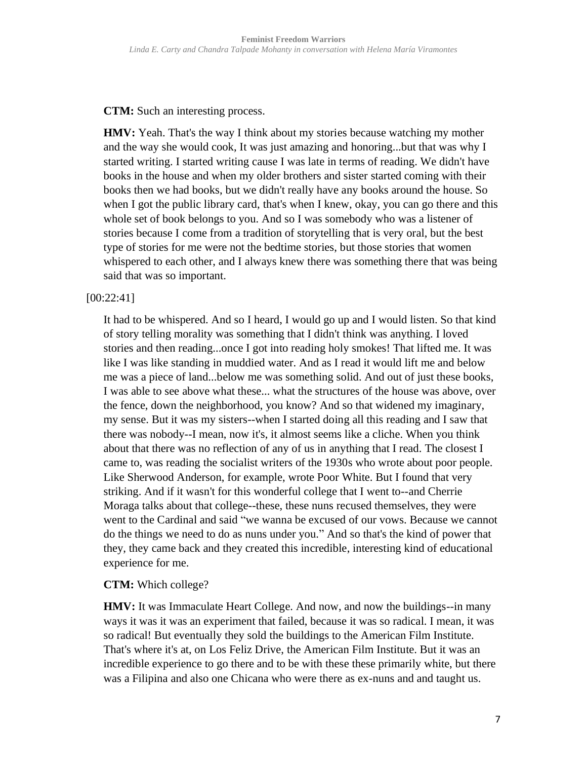**CTM:** Such an interesting process.

**HMV:** Yeah. That's the way I think about my stories because watching my mother and the way she would cook, It was just amazing and honoring...but that was why I started writing. I started writing cause I was late in terms of reading. We didn't have books in the house and when my older brothers and sister started coming with their books then we had books, but we didn't really have any books around the house. So when I got the public library card, that's when I knew, okay, you can go there and this whole set of book belongs to you. And so I was somebody who was a listener of stories because I come from a tradition of storytelling that is very oral, but the best type of stories for me were not the bedtime stories, but those stories that women whispered to each other, and I always knew there was something there that was being said that was so important.

#### [00:22:41]

It had to be whispered. And so I heard, I would go up and I would listen. So that kind of story telling morality was something that I didn't think was anything. I loved stories and then reading...once I got into reading holy smokes! That lifted me. It was like I was like standing in muddied water. And as I read it would lift me and below me was a piece of land...below me was something solid. And out of just these books, I was able to see above what these... what the structures of the house was above, over the fence, down the neighborhood, you know? And so that widened my imaginary, my sense. But it was my sisters--when I started doing all this reading and I saw that there was nobody--I mean, now it's, it almost seems like a cliche. When you think about that there was no reflection of any of us in anything that I read. The closest I came to, was reading the socialist writers of the 1930s who wrote about poor people. Like Sherwood Anderson, for example, wrote Poor White. But I found that very striking. And if it wasn't for this wonderful college that I went to--and Cherrie Moraga talks about that college--these, these nuns recused themselves, they were went to the Cardinal and said "we wanna be excused of our vows. Because we cannot do the things we need to do as nuns under you." And so that's the kind of power that they, they came back and they created this incredible, interesting kind of educational experience for me.

# **CTM:** Which college?

**HMV:** It was Immaculate Heart College. And now, and now the buildings--in many ways it was it was an experiment that failed, because it was so radical. I mean, it was so radical! But eventually they sold the buildings to the American Film Institute. That's where it's at, on Los Feliz Drive, the American Film Institute. But it was an incredible experience to go there and to be with these these primarily white, but there was a Filipina and also one Chicana who were there as ex-nuns and and taught us.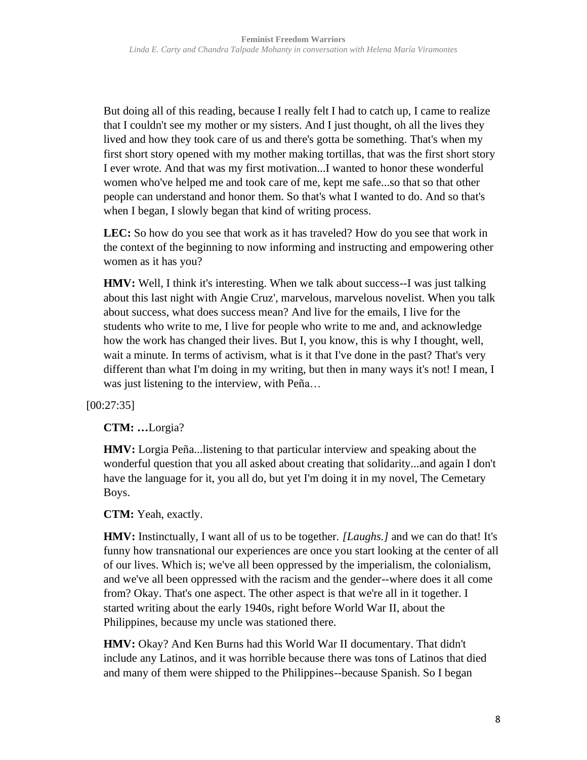But doing all of this reading, because I really felt I had to catch up, I came to realize that I couldn't see my mother or my sisters. And I just thought, oh all the lives they lived and how they took care of us and there's gotta be something. That's when my first short story opened with my mother making tortillas, that was the first short story I ever wrote. And that was my first motivation...I wanted to honor these wonderful women who've helped me and took care of me, kept me safe...so that so that other people can understand and honor them. So that's what I wanted to do. And so that's when I began, I slowly began that kind of writing process.

**LEC:** So how do you see that work as it has traveled? How do you see that work in the context of the beginning to now informing and instructing and empowering other women as it has you?

**HMV:** Well, I think it's interesting. When we talk about success--I was just talking about this last night with Angie Cruz', marvelous, marvelous novelist. When you talk about success, what does success mean? And live for the emails, I live for the students who write to me, I live for people who write to me and, and acknowledge how the work has changed their lives. But I, you know, this is why I thought, well, wait a minute. In terms of activism, what is it that I've done in the past? That's very different than what I'm doing in my writing, but then in many ways it's not! I mean, I was just listening to the interview, with Peña…

[00:27:35]

**CTM: …**Lorgia?

**HMV:** Lorgia Peña...listening to that particular interview and speaking about the wonderful question that you all asked about creating that solidarity...and again I don't have the language for it, you all do, but yet I'm doing it in my novel, The Cemetary Boys.

**CTM:** Yeah, exactly.

**HMV:** Instinctually, I want all of us to be together. *[Laughs.]* and we can do that! It's funny how transnational our experiences are once you start looking at the center of all of our lives. Which is; we've all been oppressed by the imperialism, the colonialism, and we've all been oppressed with the racism and the gender--where does it all come from? Okay. That's one aspect. The other aspect is that we're all in it together. I started writing about the early 1940s, right before World War II, about the Philippines, because my uncle was stationed there.

**HMV:** Okay? And Ken Burns had this World War II documentary. That didn't include any Latinos, and it was horrible because there was tons of Latinos that died and many of them were shipped to the Philippines--because Spanish. So I began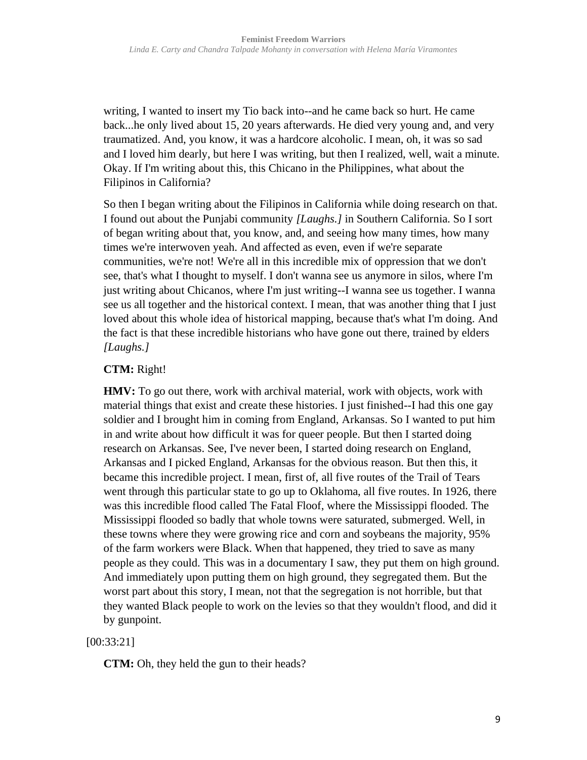writing, I wanted to insert my Tio back into--and he came back so hurt. He came back...he only lived about 15, 20 years afterwards. He died very young and, and very traumatized. And, you know, it was a hardcore alcoholic. I mean, oh, it was so sad and I loved him dearly, but here I was writing, but then I realized, well, wait a minute. Okay. If I'm writing about this, this Chicano in the Philippines, what about the Filipinos in California?

So then I began writing about the Filipinos in California while doing research on that. I found out about the Punjabi community *[Laughs.]* in Southern California. So I sort of began writing about that, you know, and, and seeing how many times, how many times we're interwoven yeah. And affected as even, even if we're separate communities, we're not! We're all in this incredible mix of oppression that we don't see, that's what I thought to myself. I don't wanna see us anymore in silos, where I'm just writing about Chicanos, where I'm just writing--I wanna see us together. I wanna see us all together and the historical context. I mean, that was another thing that I just loved about this whole idea of historical mapping, because that's what I'm doing. And the fact is that these incredible historians who have gone out there, trained by elders *[Laughs.]*

# **CTM:** Right!

**HMV:** To go out there, work with archival material, work with objects, work with material things that exist and create these histories. I just finished--I had this one gay soldier and I brought him in coming from England, Arkansas. So I wanted to put him in and write about how difficult it was for queer people. But then I started doing research on Arkansas. See, I've never been, I started doing research on England, Arkansas and I picked England, Arkansas for the obvious reason. But then this, it became this incredible project. I mean, first of, all five routes of the Trail of Tears went through this particular state to go up to Oklahoma, all five routes. In 1926, there was this incredible flood called The Fatal Floof, where the Mississippi flooded. The Mississippi flooded so badly that whole towns were saturated, submerged. Well, in these towns where they were growing rice and corn and soybeans the majority, 95% of the farm workers were Black. When that happened, they tried to save as many people as they could. This was in a documentary I saw, they put them on high ground. And immediately upon putting them on high ground, they segregated them. But the worst part about this story, I mean, not that the segregation is not horrible, but that they wanted Black people to work on the levies so that they wouldn't flood, and did it by gunpoint.

# [00:33:21]

**CTM:** Oh, they held the gun to their heads?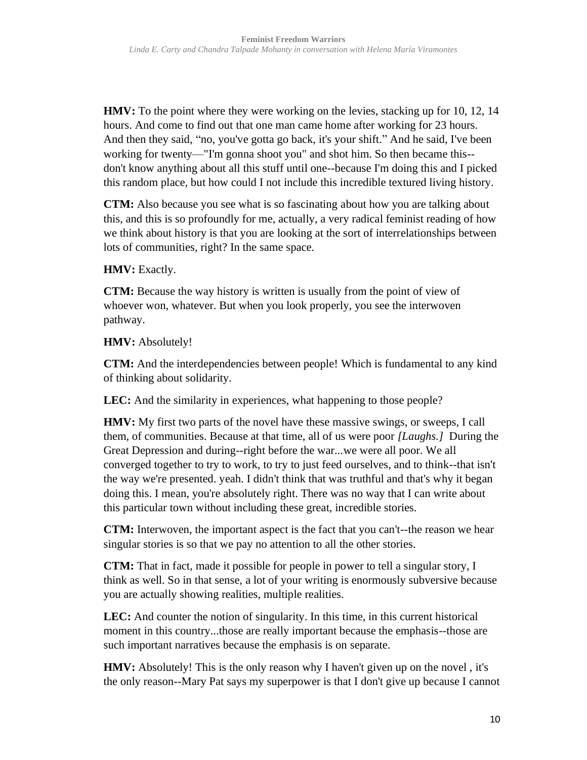**HMV:** To the point where they were working on the levies, stacking up for 10, 12, 14 hours. And come to find out that one man came home after working for 23 hours. And then they said, "no, you've gotta go back, it's your shift." And he said, I've been working for twenty—"I'm gonna shoot you" and shot him. So then became this- don't know anything about all this stuff until one--because I'm doing this and I picked this random place, but how could I not include this incredible textured living history.

**CTM:** Also because you see what is so fascinating about how you are talking about this, and this is so profoundly for me, actually, a very radical feminist reading of how we think about history is that you are looking at the sort of interrelationships between lots of communities, right? In the same space.

# HMV: Exactly.

**CTM:** Because the way history is written is usually from the point of view of whoever won, whatever. But when you look properly, you see the interwoven pathway.

**HMV:** Absolutely!

**CTM:** And the interdependencies between people! Which is fundamental to any kind of thinking about solidarity.

LEC: And the similarity in experiences, what happening to those people?

**HMV:** My first two parts of the novel have these massive swings, or sweeps, I call them, of communities. Because at that time, all of us were poor *[Laughs.]* During the Great Depression and during--right before the war...we were all poor. We all converged together to try to work, to try to just feed ourselves, and to think--that isn't the way we're presented. yeah. I didn't think that was truthful and that's why it began doing this. I mean, you're absolutely right. There was no way that I can write about this particular town without including these great, incredible stories.

**CTM:** Interwoven, the important aspect is the fact that you can't--the reason we hear singular stories is so that we pay no attention to all the other stories.

**CTM:** That in fact, made it possible for people in power to tell a singular story, I think as well. So in that sense, a lot of your writing is enormously subversive because you are actually showing realities, multiple realities.

LEC: And counter the notion of singularity. In this time, in this current historical moment in this country...those are really important because the emphasis--those are such important narratives because the emphasis is on separate.

**HMV:** Absolutely! This is the only reason why I haven't given up on the novel, it's the only reason--Mary Pat says my superpower is that I don't give up because I cannot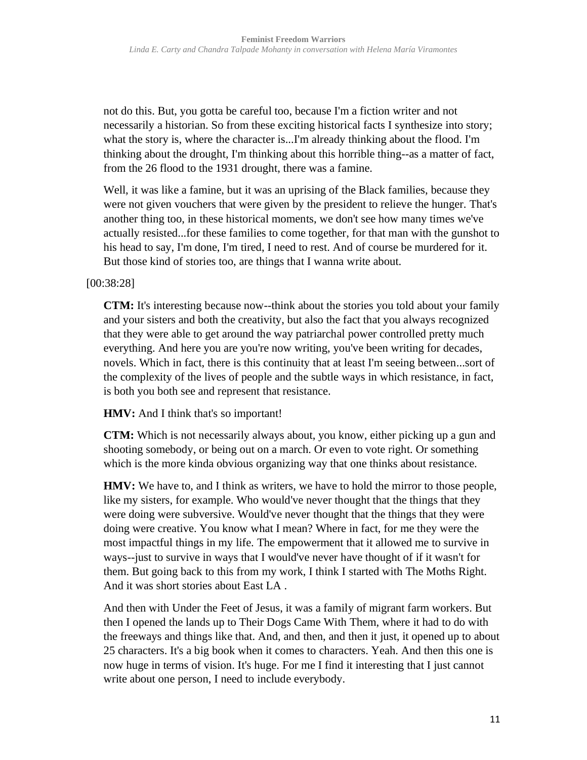not do this. But, you gotta be careful too, because I'm a fiction writer and not necessarily a historian. So from these exciting historical facts I synthesize into story; what the story is, where the character is...I'm already thinking about the flood. I'm thinking about the drought, I'm thinking about this horrible thing--as a matter of fact, from the 26 flood to the 1931 drought, there was a famine.

Well, it was like a famine, but it was an uprising of the Black families, because they were not given vouchers that were given by the president to relieve the hunger. That's another thing too, in these historical moments, we don't see how many times we've actually resisted...for these families to come together, for that man with the gunshot to his head to say, I'm done, I'm tired, I need to rest. And of course be murdered for it. But those kind of stories too, are things that I wanna write about.

# [00:38:28]

**CTM:** It's interesting because now--think about the stories you told about your family and your sisters and both the creativity, but also the fact that you always recognized that they were able to get around the way patriarchal power controlled pretty much everything. And here you are you're now writing, you've been writing for decades, novels. Which in fact, there is this continuity that at least I'm seeing between...sort of the complexity of the lives of people and the subtle ways in which resistance, in fact, is both you both see and represent that resistance.

#### **HMV:** And I think that's so important!

**CTM:** Which is not necessarily always about, you know, either picking up a gun and shooting somebody, or being out on a march. Or even to vote right. Or something which is the more kinda obvious organizing way that one thinks about resistance.

**HMV:** We have to, and I think as writers, we have to hold the mirror to those people, like my sisters, for example. Who would've never thought that the things that they were doing were subversive. Would've never thought that the things that they were doing were creative. You know what I mean? Where in fact, for me they were the most impactful things in my life. The empowerment that it allowed me to survive in ways--just to survive in ways that I would've never have thought of if it wasn't for them. But going back to this from my work, I think I started with The Moths Right. And it was short stories about East LA .

And then with Under the Feet of Jesus, it was a family of migrant farm workers. But then I opened the lands up to Their Dogs Came With Them, where it had to do with the freeways and things like that. And, and then, and then it just, it opened up to about 25 characters. It's a big book when it comes to characters. Yeah. And then this one is now huge in terms of vision. It's huge. For me I find it interesting that I just cannot write about one person, I need to include everybody.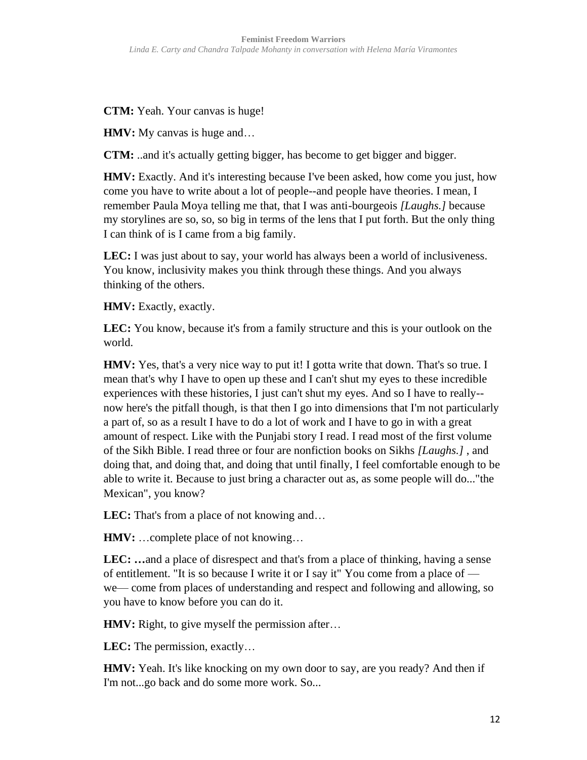**CTM:** Yeah. Your canvas is huge!

**HMV:** My canvas is huge and...

**CTM:** ..and it's actually getting bigger, has become to get bigger and bigger.

**HMV:** Exactly. And it's interesting because I've been asked, how come you just, how come you have to write about a lot of people--and people have theories. I mean, I remember Paula Moya telling me that, that I was anti-bourgeois *[Laughs.]* because my storylines are so, so, so big in terms of the lens that I put forth. But the only thing I can think of is I came from a big family.

**LEC:** I was just about to say, your world has always been a world of inclusiveness. You know, inclusivity makes you think through these things. And you always thinking of the others.

**HMV:** Exactly, exactly.

**LEC:** You know, because it's from a family structure and this is your outlook on the world.

**HMV:** Yes, that's a very nice way to put it! I gotta write that down. That's so true. I mean that's why I have to open up these and I can't shut my eyes to these incredible experiences with these histories, I just can't shut my eyes. And so I have to really- now here's the pitfall though, is that then I go into dimensions that I'm not particularly a part of, so as a result I have to do a lot of work and I have to go in with a great amount of respect. Like with the Punjabi story I read. I read most of the first volume of the Sikh Bible. I read three or four are nonfiction books on Sikhs *[Laughs.]* , and doing that, and doing that, and doing that until finally, I feel comfortable enough to be able to write it. Because to just bring a character out as, as some people will do..."the Mexican", you know?

**LEC:** That's from a place of not knowing and…

**HMV:** …complete place of not knowing…

**LEC: …**and a place of disrespect and that's from a place of thinking, having a sense of entitlement. "It is so because I write it or I say it" You come from a place of we— come from places of understanding and respect and following and allowing, so you have to know before you can do it.

**HMV:** Right, to give myself the permission after...

**LEC:** The permission, exactly…

**HMV:** Yeah. It's like knocking on my own door to say, are you ready? And then if I'm not...go back and do some more work. So...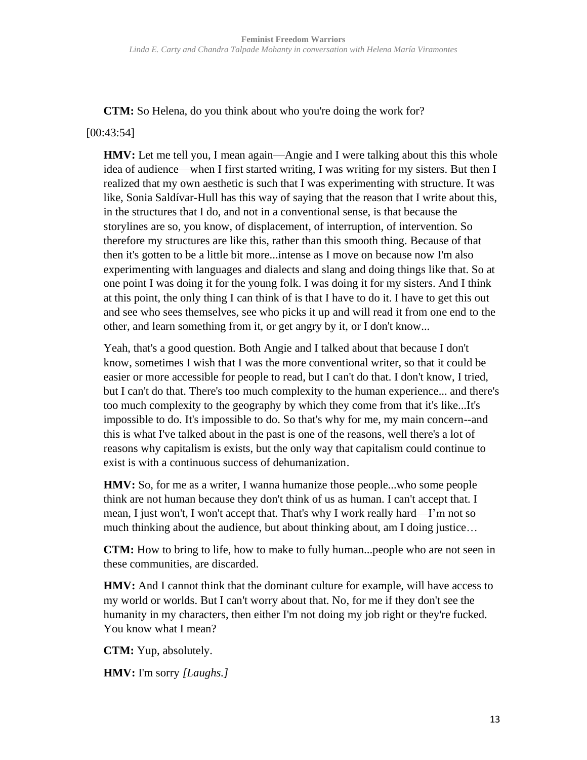**CTM:** So Helena, do you think about who you're doing the work for?

#### [00:43:54]

**HMV:** Let me tell you, I mean again—Angie and I were talking about this this whole idea of audience—when I first started writing, I was writing for my sisters. But then I realized that my own aesthetic is such that I was experimenting with structure. It was like, Sonia Saldívar-Hull has this way of saying that the reason that I write about this, in the structures that I do, and not in a conventional sense, is that because the storylines are so, you know, of displacement, of interruption, of intervention. So therefore my structures are like this, rather than this smooth thing. Because of that then it's gotten to be a little bit more...intense as I move on because now I'm also experimenting with languages and dialects and slang and doing things like that. So at one point I was doing it for the young folk. I was doing it for my sisters. And I think at this point, the only thing I can think of is that I have to do it. I have to get this out and see who sees themselves, see who picks it up and will read it from one end to the other, and learn something from it, or get angry by it, or I don't know...

Yeah, that's a good question. Both Angie and I talked about that because I don't know, sometimes I wish that I was the more conventional writer, so that it could be easier or more accessible for people to read, but I can't do that. I don't know, I tried, but I can't do that. There's too much complexity to the human experience... and there's too much complexity to the geography by which they come from that it's like...It's impossible to do. It's impossible to do. So that's why for me, my main concern--and this is what I've talked about in the past is one of the reasons, well there's a lot of reasons why capitalism is exists, but the only way that capitalism could continue to exist is with a continuous success of dehumanization.

**HMV:** So, for me as a writer, I wanna humanize those people...who some people think are not human because they don't think of us as human. I can't accept that. I mean, I just won't, I won't accept that. That's why I work really hard—I'm not so much thinking about the audience, but about thinking about, am I doing justice…

**CTM:** How to bring to life, how to make to fully human...people who are not seen in these communities, are discarded.

**HMV:** And I cannot think that the dominant culture for example, will have access to my world or worlds. But I can't worry about that. No, for me if they don't see the humanity in my characters, then either I'm not doing my job right or they're fucked. You know what I mean?

**CTM:** Yup, absolutely.

**HMV:** I'm sorry *[Laughs.]*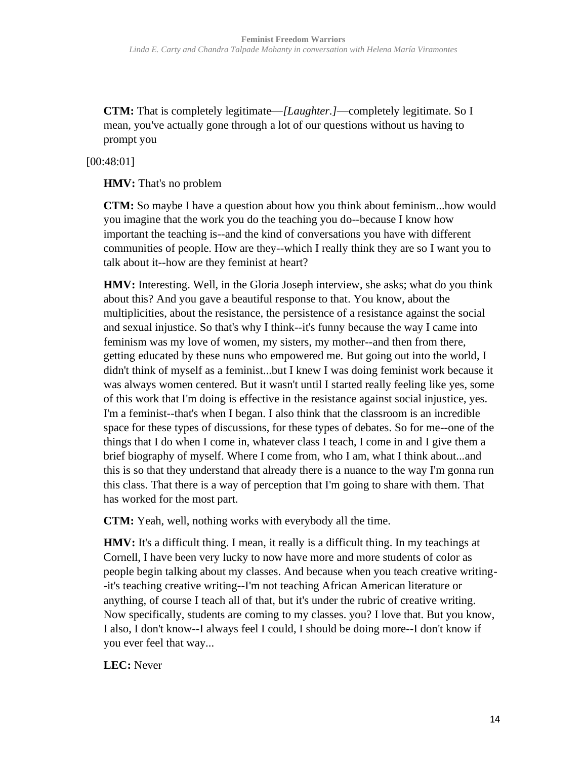**CTM:** That is completely legitimate—*[Laughter.]*—completely legitimate. So I mean, you've actually gone through a lot of our questions without us having to prompt you

[00:48:01]

**HMV:** That's no problem

**CTM:** So maybe I have a question about how you think about feminism...how would you imagine that the work you do the teaching you do--because I know how important the teaching is--and the kind of conversations you have with different communities of people. How are they--which I really think they are so I want you to talk about it--how are they feminist at heart?

**HMV:** Interesting. Well, in the Gloria Joseph interview, she asks; what do you think about this? And you gave a beautiful response to that. You know, about the multiplicities, about the resistance, the persistence of a resistance against the social and sexual injustice. So that's why I think--it's funny because the way I came into feminism was my love of women, my sisters, my mother--and then from there, getting educated by these nuns who empowered me. But going out into the world, I didn't think of myself as a feminist...but I knew I was doing feminist work because it was always women centered. But it wasn't until I started really feeling like yes, some of this work that I'm doing is effective in the resistance against social injustice, yes. I'm a feminist--that's when I began. I also think that the classroom is an incredible space for these types of discussions, for these types of debates. So for me--one of the things that I do when I come in, whatever class I teach, I come in and I give them a brief biography of myself. Where I come from, who I am, what I think about...and this is so that they understand that already there is a nuance to the way I'm gonna run this class. That there is a way of perception that I'm going to share with them. That has worked for the most part.

**CTM:** Yeah, well, nothing works with everybody all the time.

**HMV:** It's a difficult thing. I mean, it really is a difficult thing. In my teachings at Cornell, I have been very lucky to now have more and more students of color as people begin talking about my classes. And because when you teach creative writing- -it's teaching creative writing--I'm not teaching African American literature or anything, of course I teach all of that, but it's under the rubric of creative writing. Now specifically, students are coming to my classes. you? I love that. But you know, I also, I don't know--I always feel I could, I should be doing more--I don't know if you ever feel that way...

**LEC:** Never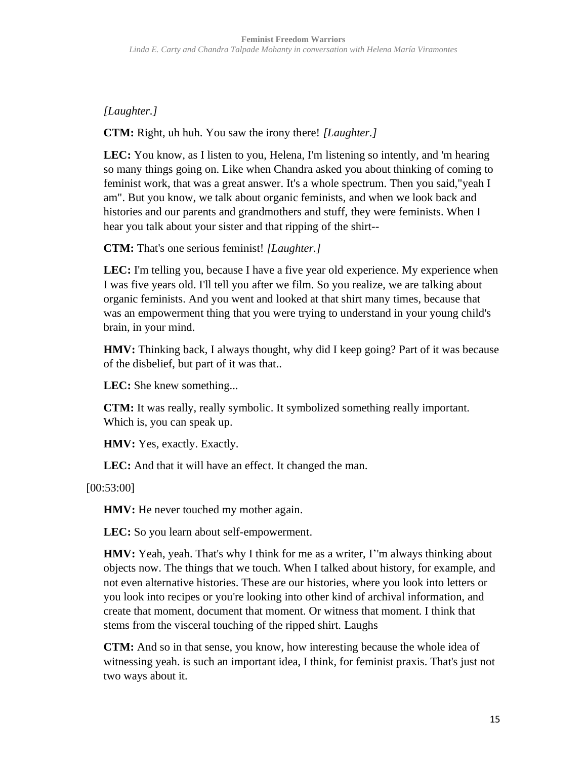# *[Laughter.]*

**CTM:** Right, uh huh. You saw the irony there! *[Laughter.]*

**LEC:** You know, as I listen to you, Helena, I'm listening so intently, and 'm hearing so many things going on. Like when Chandra asked you about thinking of coming to feminist work, that was a great answer. It's a whole spectrum. Then you said,"yeah I am". But you know, we talk about organic feminists, and when we look back and histories and our parents and grandmothers and stuff, they were feminists. When I hear you talk about your sister and that ripping of the shirt--

**CTM:** That's one serious feminist! *[Laughter.]*

LEC: I'm telling you, because I have a five year old experience. My experience when I was five years old. I'll tell you after we film. So you realize, we are talking about organic feminists. And you went and looked at that shirt many times, because that was an empowerment thing that you were trying to understand in your young child's brain, in your mind.

**HMV:** Thinking back, I always thought, why did I keep going? Part of it was because of the disbelief, but part of it was that..

**LEC:** She knew something...

**CTM:** It was really, really symbolic. It symbolized something really important. Which is, you can speak up.

**HMV:** Yes, exactly. Exactly.

**LEC:** And that it will have an effect. It changed the man.

[00:53:00]

**HMV:** He never touched my mother again.

**LEC:** So you learn about self-empowerment.

**HMV:** Yeah, yeah. That's why I think for me as a writer, I''m always thinking about objects now. The things that we touch. When I talked about history, for example, and not even alternative histories. These are our histories, where you look into letters or you look into recipes or you're looking into other kind of archival information, and create that moment, document that moment. Or witness that moment. I think that stems from the visceral touching of the ripped shirt. Laughs

**CTM:** And so in that sense, you know, how interesting because the whole idea of witnessing yeah. is such an important idea, I think, for feminist praxis. That's just not two ways about it.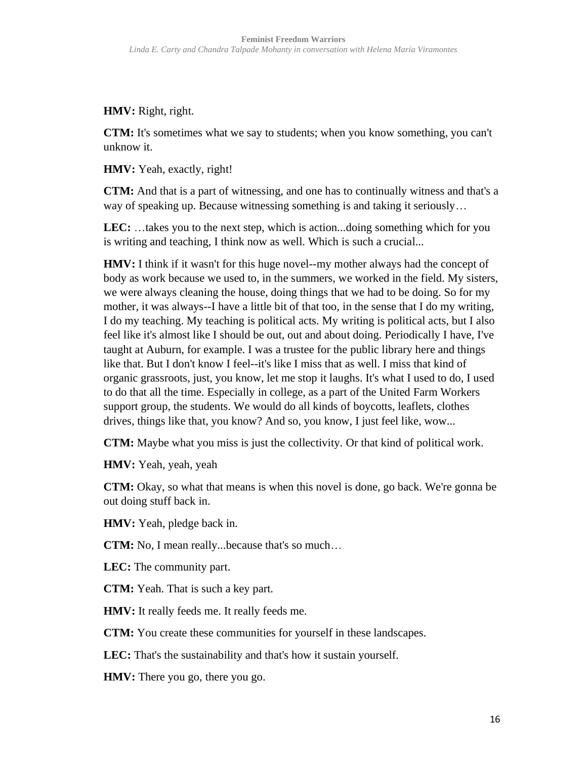**HMV:** Right, right.

**CTM:** It's sometimes what we say to students; when you know something, you can't unknow it.

**HMV:** Yeah, exactly, right!

**CTM:** And that is a part of witnessing, and one has to continually witness and that's a way of speaking up. Because witnessing something is and taking it seriously…

**LEC:** …takes you to the next step, which is action...doing something which for you is writing and teaching, I think now as well. Which is such a crucial...

**HMV:** I think if it wasn't for this huge novel--my mother always had the concept of body as work because we used to, in the summers, we worked in the field. My sisters, we were always cleaning the house, doing things that we had to be doing. So for my mother, it was always--I have a little bit of that too, in the sense that I do my writing, I do my teaching. My teaching is political acts. My writing is political acts, but I also feel like it's almost like I should be out, out and about doing. Periodically I have, I've taught at Auburn, for example. I was a trustee for the public library here and things like that. But I don't know I feel--it's like I miss that as well. I miss that kind of organic grassroots, just, you know, let me stop it laughs. It's what I used to do, I used to do that all the time. Especially in college, as a part of the United Farm Workers support group, the students. We would do all kinds of boycotts, leaflets, clothes drives, things like that, you know? And so, you know, I just feel like, wow...

**CTM:** Maybe what you miss is just the collectivity. Or that kind of political work.

**HMV:** Yeah, yeah, yeah

**CTM:** Okay, so what that means is when this novel is done, go back. We're gonna be out doing stuff back in.

**HMV:** Yeah, pledge back in.

**CTM:** No, I mean really...because that's so much…

**LEC:** The community part.

**CTM:** Yeah. That is such a key part.

**HMV:** It really feeds me. It really feeds me.

**CTM:** You create these communities for yourself in these landscapes.

**LEC:** That's the sustainability and that's how it sustain yourself.

**HMV:** There you go, there you go.